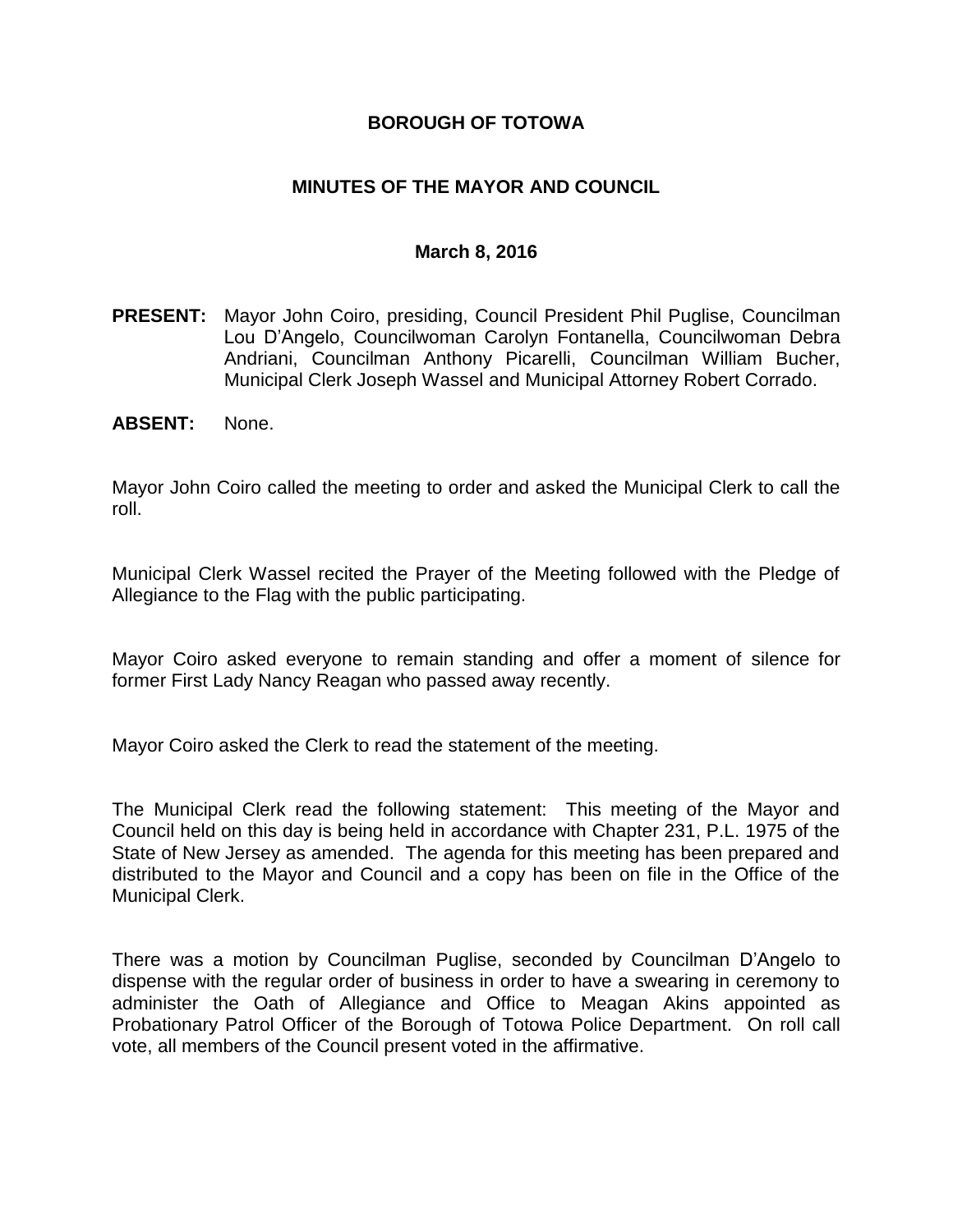### **BOROUGH OF TOTOWA**

### **MINUTES OF THE MAYOR AND COUNCIL**

#### **March 8, 2016**

- **PRESENT:** Mayor John Coiro, presiding, Council President Phil Puglise, Councilman Lou D'Angelo, Councilwoman Carolyn Fontanella, Councilwoman Debra Andriani, Councilman Anthony Picarelli, Councilman William Bucher, Municipal Clerk Joseph Wassel and Municipal Attorney Robert Corrado.
- **ABSENT:** None.

Mayor John Coiro called the meeting to order and asked the Municipal Clerk to call the roll.

Municipal Clerk Wassel recited the Prayer of the Meeting followed with the Pledge of Allegiance to the Flag with the public participating.

Mayor Coiro asked everyone to remain standing and offer a moment of silence for former First Lady Nancy Reagan who passed away recently.

Mayor Coiro asked the Clerk to read the statement of the meeting.

The Municipal Clerk read the following statement: This meeting of the Mayor and Council held on this day is being held in accordance with Chapter 231, P.L. 1975 of the State of New Jersey as amended. The agenda for this meeting has been prepared and distributed to the Mayor and Council and a copy has been on file in the Office of the Municipal Clerk.

There was a motion by Councilman Puglise, seconded by Councilman D'Angelo to dispense with the regular order of business in order to have a swearing in ceremony to administer the Oath of Allegiance and Office to Meagan Akins appointed as Probationary Patrol Officer of the Borough of Totowa Police Department. On roll call vote, all members of the Council present voted in the affirmative.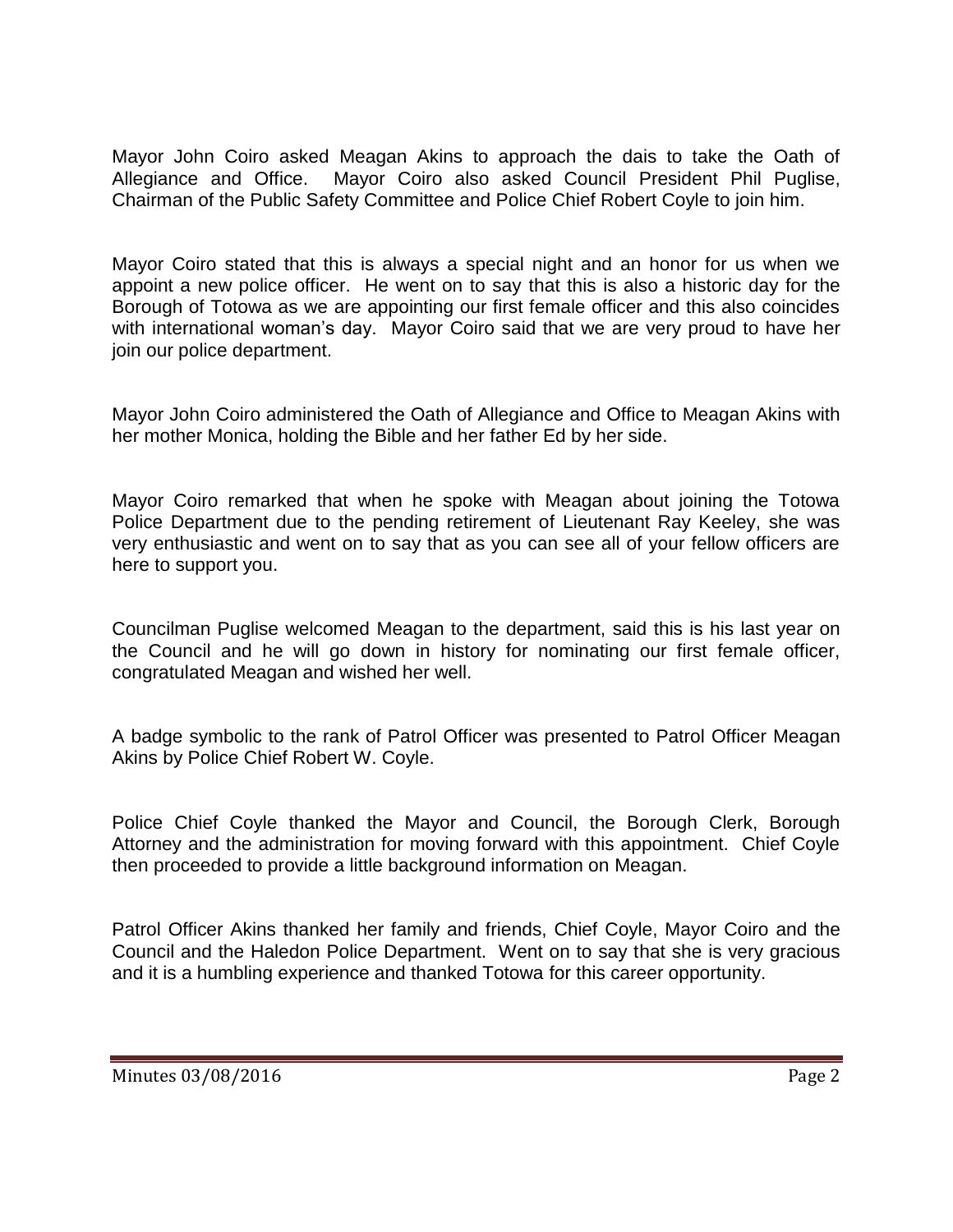Mayor John Coiro asked Meagan Akins to approach the dais to take the Oath of Allegiance and Office. Mayor Coiro also asked Council President Phil Puglise, Chairman of the Public Safety Committee and Police Chief Robert Coyle to join him.

Mayor Coiro stated that this is always a special night and an honor for us when we appoint a new police officer. He went on to say that this is also a historic day for the Borough of Totowa as we are appointing our first female officer and this also coincides with international woman's day. Mayor Coiro said that we are very proud to have her join our police department.

Mayor John Coiro administered the Oath of Allegiance and Office to Meagan Akins with her mother Monica, holding the Bible and her father Ed by her side.

Mayor Coiro remarked that when he spoke with Meagan about joining the Totowa Police Department due to the pending retirement of Lieutenant Ray Keeley, she was very enthusiastic and went on to say that as you can see all of your fellow officers are here to support you.

Councilman Puglise welcomed Meagan to the department, said this is his last year on the Council and he will go down in history for nominating our first female officer, congratulated Meagan and wished her well.

A badge symbolic to the rank of Patrol Officer was presented to Patrol Officer Meagan Akins by Police Chief Robert W. Coyle.

Police Chief Coyle thanked the Mayor and Council, the Borough Clerk, Borough Attorney and the administration for moving forward with this appointment. Chief Coyle then proceeded to provide a little background information on Meagan.

Patrol Officer Akins thanked her family and friends, Chief Coyle, Mayor Coiro and the Council and the Haledon Police Department. Went on to say that she is very gracious and it is a humbling experience and thanked Totowa for this career opportunity.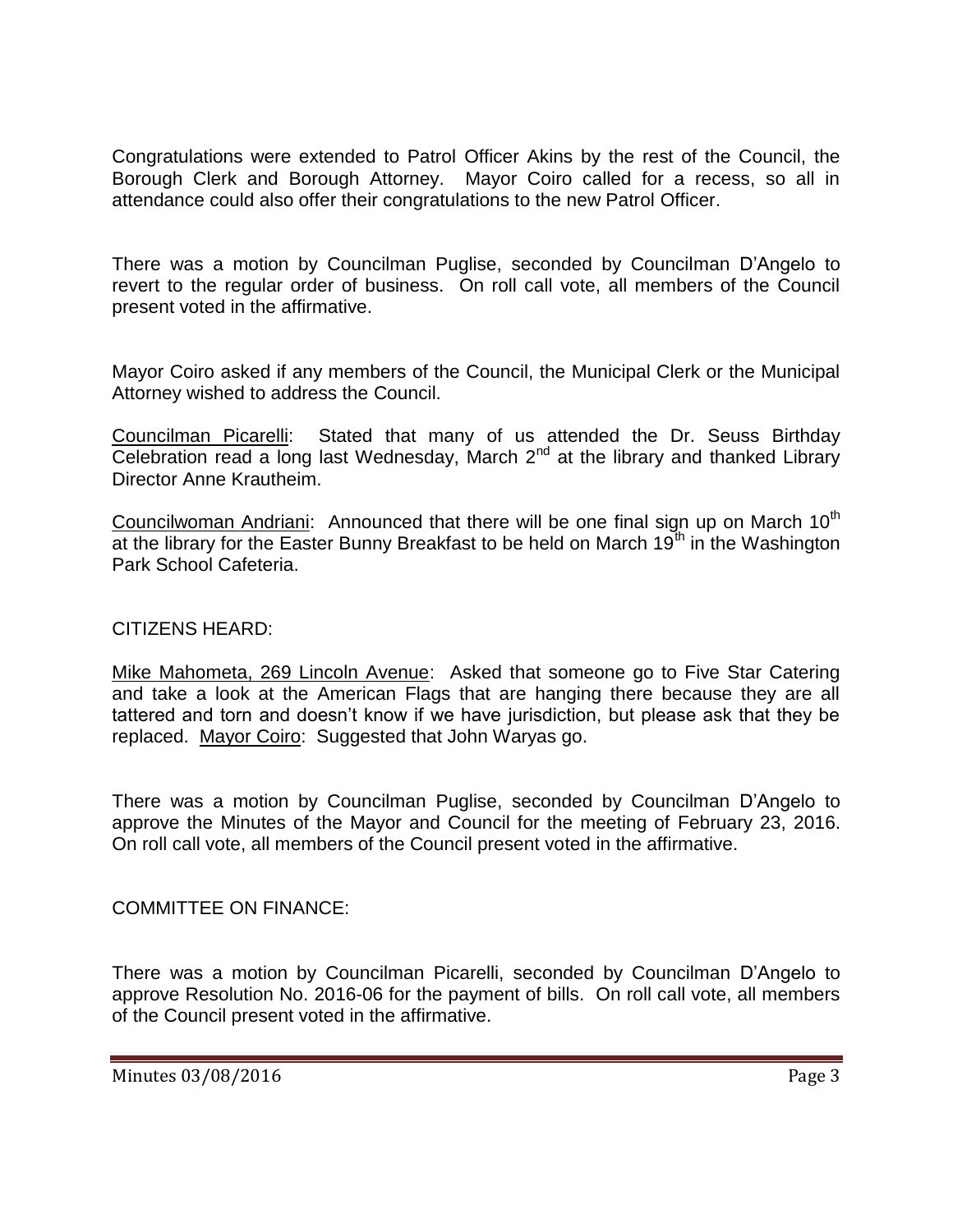Congratulations were extended to Patrol Officer Akins by the rest of the Council, the Borough Clerk and Borough Attorney. Mayor Coiro called for a recess, so all in attendance could also offer their congratulations to the new Patrol Officer.

There was a motion by Councilman Puglise, seconded by Councilman D'Angelo to revert to the regular order of business. On roll call vote, all members of the Council present voted in the affirmative.

Mayor Coiro asked if any members of the Council, the Municipal Clerk or the Municipal Attorney wished to address the Council.

Councilman Picarelli: Stated that many of us attended the Dr. Seuss Birthday Celebration read a long last Wednesday, March  $2^{nd}$  at the library and thanked Library Director Anne Krautheim.

Councilwoman Andriani: Announced that there will be one final sign up on March  $10<sup>th</sup>$ at the library for the Easter Bunny Breakfast to be held on March  $19<sup>th</sup>$  in the Washington Park School Cafeteria.

### CITIZENS HEARD:

Mike Mahometa, 269 Lincoln Avenue: Asked that someone go to Five Star Catering and take a look at the American Flags that are hanging there because they are all tattered and torn and doesn't know if we have jurisdiction, but please ask that they be replaced. Mayor Coiro: Suggested that John Waryas go.

There was a motion by Councilman Puglise, seconded by Councilman D'Angelo to approve the Minutes of the Mayor and Council for the meeting of February 23, 2016. On roll call vote, all members of the Council present voted in the affirmative.

### COMMITTEE ON FINANCE:

There was a motion by Councilman Picarelli, seconded by Councilman D'Angelo to approve Resolution No. 2016-06 for the payment of bills. On roll call vote, all members of the Council present voted in the affirmative.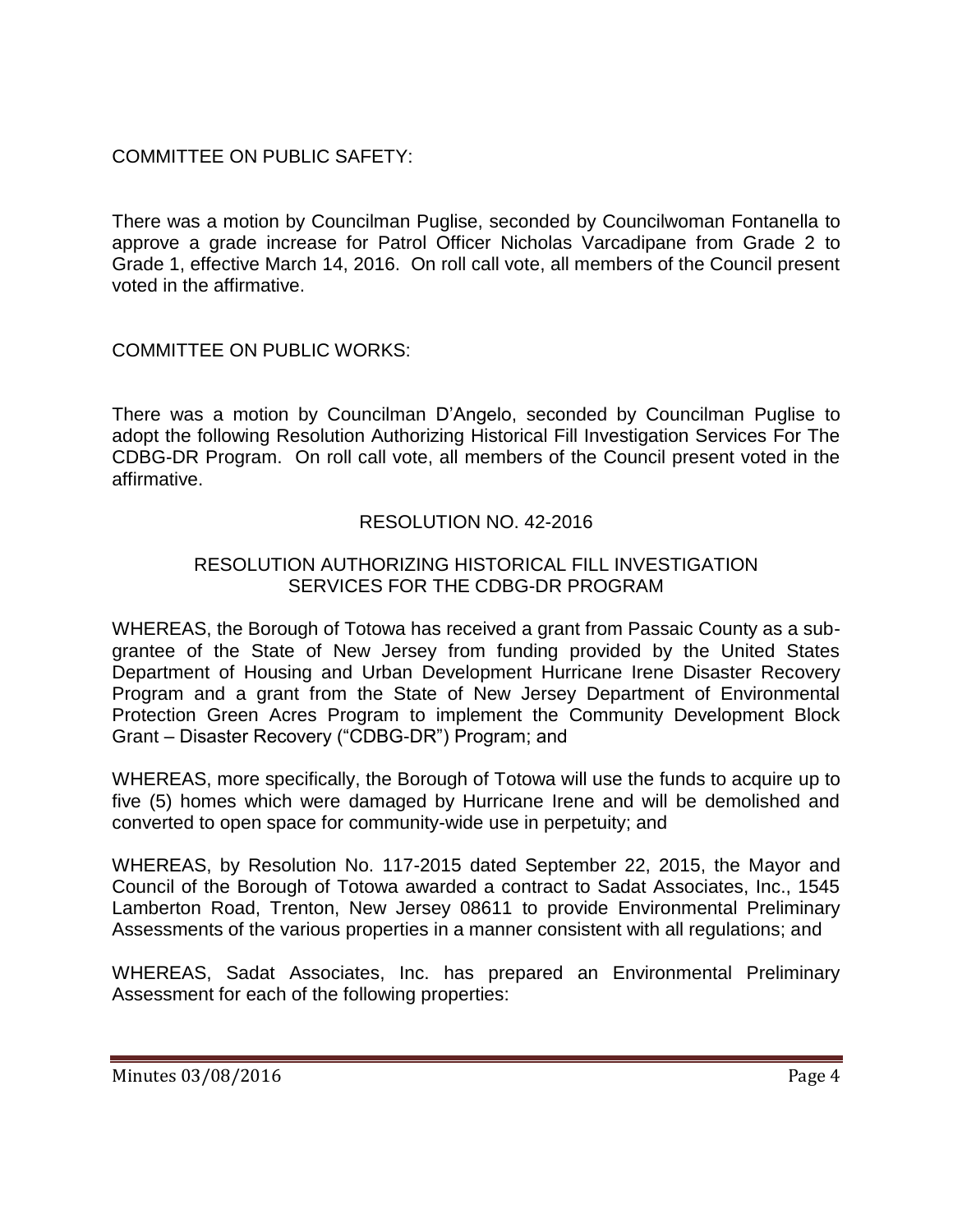## COMMITTEE ON PUBLIC SAFETY:

There was a motion by Councilman Puglise, seconded by Councilwoman Fontanella to approve a grade increase for Patrol Officer Nicholas Varcadipane from Grade 2 to Grade 1, effective March 14, 2016. On roll call vote, all members of the Council present voted in the affirmative.

COMMITTEE ON PUBLIC WORKS:

There was a motion by Councilman D'Angelo, seconded by Councilman Puglise to adopt the following Resolution Authorizing Historical Fill Investigation Services For The CDBG-DR Program. On roll call vote, all members of the Council present voted in the affirmative.

## RESOLUTION NO. 42-2016

### RESOLUTION AUTHORIZING HISTORICAL FILL INVESTIGATION SERVICES FOR THE CDBG-DR PROGRAM

WHEREAS, the Borough of Totowa has received a grant from Passaic County as a subgrantee of the State of New Jersey from funding provided by the United States Department of Housing and Urban Development Hurricane Irene Disaster Recovery Program and a grant from the State of New Jersey Department of Environmental Protection Green Acres Program to implement the Community Development Block Grant – Disaster Recovery ("CDBG-DR") Program; and

WHEREAS, more specifically, the Borough of Totowa will use the funds to acquire up to five (5) homes which were damaged by Hurricane Irene and will be demolished and converted to open space for community-wide use in perpetuity; and

WHEREAS, by Resolution No. 117-2015 dated September 22, 2015, the Mayor and Council of the Borough of Totowa awarded a contract to Sadat Associates, Inc., 1545 Lamberton Road, Trenton, New Jersey 08611 to provide Environmental Preliminary Assessments of the various properties in a manner consistent with all regulations; and

WHEREAS, Sadat Associates, Inc. has prepared an Environmental Preliminary Assessment for each of the following properties: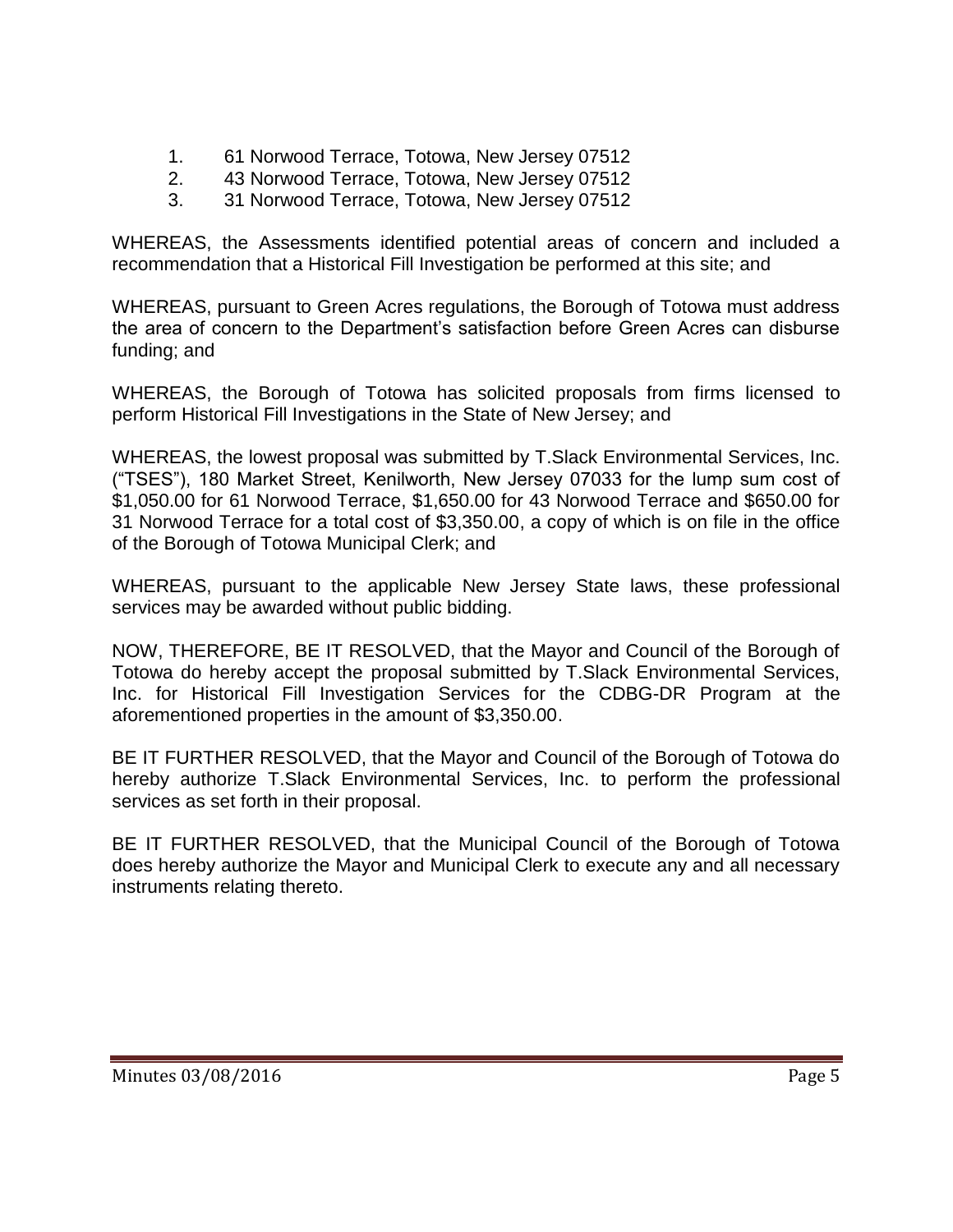- 1. 61 Norwood Terrace, Totowa, New Jersey 07512
- 2. 43 Norwood Terrace, Totowa, New Jersey 07512
- 3. 31 Norwood Terrace, Totowa, New Jersey 07512

WHEREAS, the Assessments identified potential areas of concern and included a recommendation that a Historical Fill Investigation be performed at this site; and

WHEREAS, pursuant to Green Acres regulations, the Borough of Totowa must address the area of concern to the Department's satisfaction before Green Acres can disburse funding; and

WHEREAS, the Borough of Totowa has solicited proposals from firms licensed to perform Historical Fill Investigations in the State of New Jersey; and

WHEREAS, the lowest proposal was submitted by T.Slack Environmental Services, Inc. ("TSES"), 180 Market Street, Kenilworth, New Jersey 07033 for the lump sum cost of \$1,050.00 for 61 Norwood Terrace, \$1,650.00 for 43 Norwood Terrace and \$650.00 for 31 Norwood Terrace for a total cost of \$3,350.00, a copy of which is on file in the office of the Borough of Totowa Municipal Clerk; and

WHEREAS, pursuant to the applicable New Jersey State laws, these professional services may be awarded without public bidding.

NOW, THEREFORE, BE IT RESOLVED, that the Mayor and Council of the Borough of Totowa do hereby accept the proposal submitted by T.Slack Environmental Services, Inc. for Historical Fill Investigation Services for the CDBG-DR Program at the aforementioned properties in the amount of \$3,350.00.

BE IT FURTHER RESOLVED, that the Mayor and Council of the Borough of Totowa do hereby authorize T.Slack Environmental Services, Inc. to perform the professional services as set forth in their proposal.

BE IT FURTHER RESOLVED, that the Municipal Council of the Borough of Totowa does hereby authorize the Mayor and Municipal Clerk to execute any and all necessary instruments relating thereto.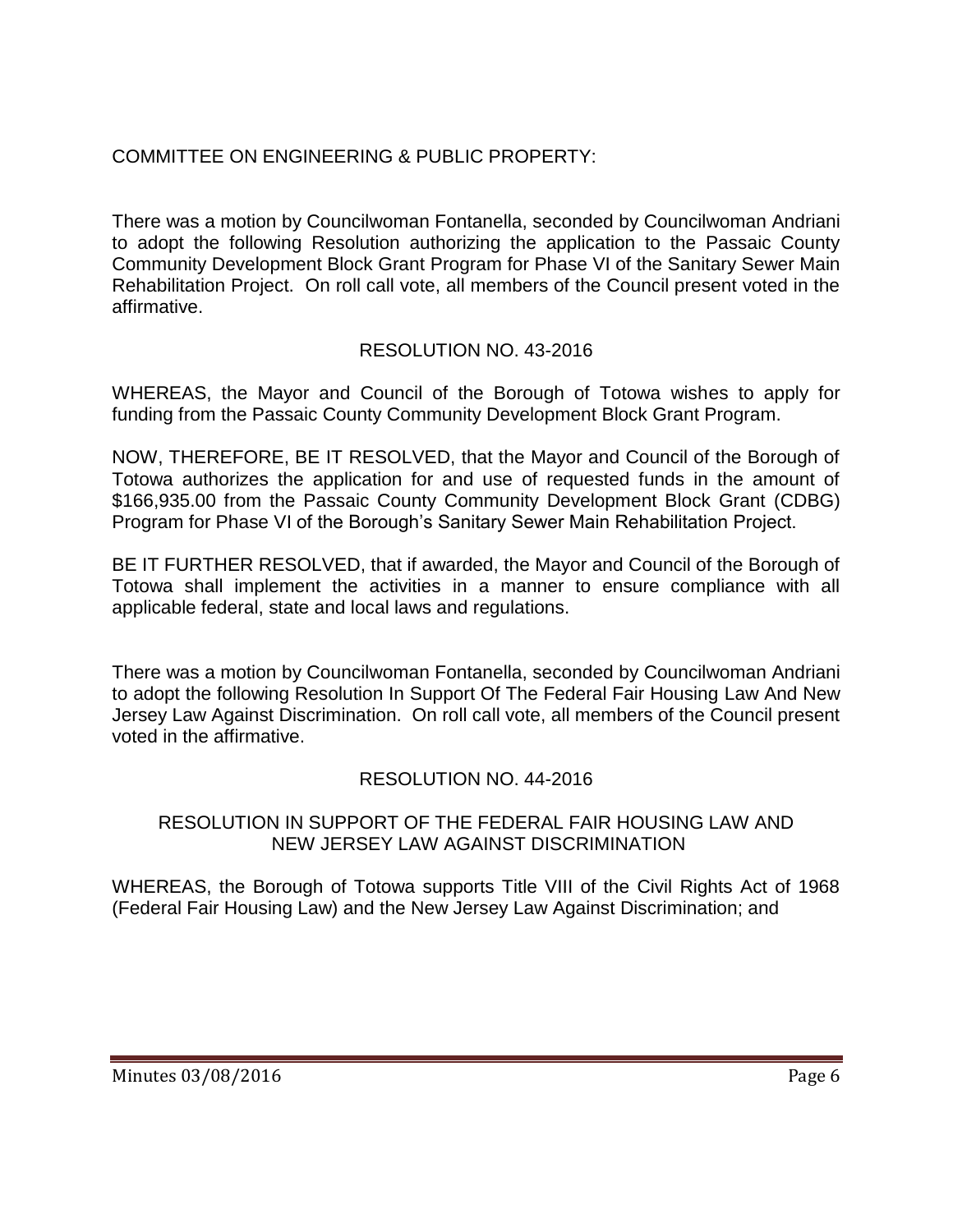# COMMITTEE ON ENGINEERING & PUBLIC PROPERTY:

There was a motion by Councilwoman Fontanella, seconded by Councilwoman Andriani to adopt the following Resolution authorizing the application to the Passaic County Community Development Block Grant Program for Phase VI of the Sanitary Sewer Main Rehabilitation Project. On roll call vote, all members of the Council present voted in the affirmative.

# RESOLUTION NO. 43-2016

WHEREAS, the Mayor and Council of the Borough of Totowa wishes to apply for funding from the Passaic County Community Development Block Grant Program.

NOW, THEREFORE, BE IT RESOLVED, that the Mayor and Council of the Borough of Totowa authorizes the application for and use of requested funds in the amount of \$166,935.00 from the Passaic County Community Development Block Grant (CDBG) Program for Phase VI of the Borough's Sanitary Sewer Main Rehabilitation Project.

BE IT FURTHER RESOLVED, that if awarded, the Mayor and Council of the Borough of Totowa shall implement the activities in a manner to ensure compliance with all applicable federal, state and local laws and regulations.

There was a motion by Councilwoman Fontanella, seconded by Councilwoman Andriani to adopt the following Resolution In Support Of The Federal Fair Housing Law And New Jersey Law Against Discrimination. On roll call vote, all members of the Council present voted in the affirmative.

### RESOLUTION NO. 44-2016

### RESOLUTION IN SUPPORT OF THE FEDERAL FAIR HOUSING LAW AND NEW JERSEY LAW AGAINST DISCRIMINATION

WHEREAS, the Borough of Totowa supports Title VIII of the Civil Rights Act of 1968 (Federal Fair Housing Law) and the New Jersey Law Against Discrimination; and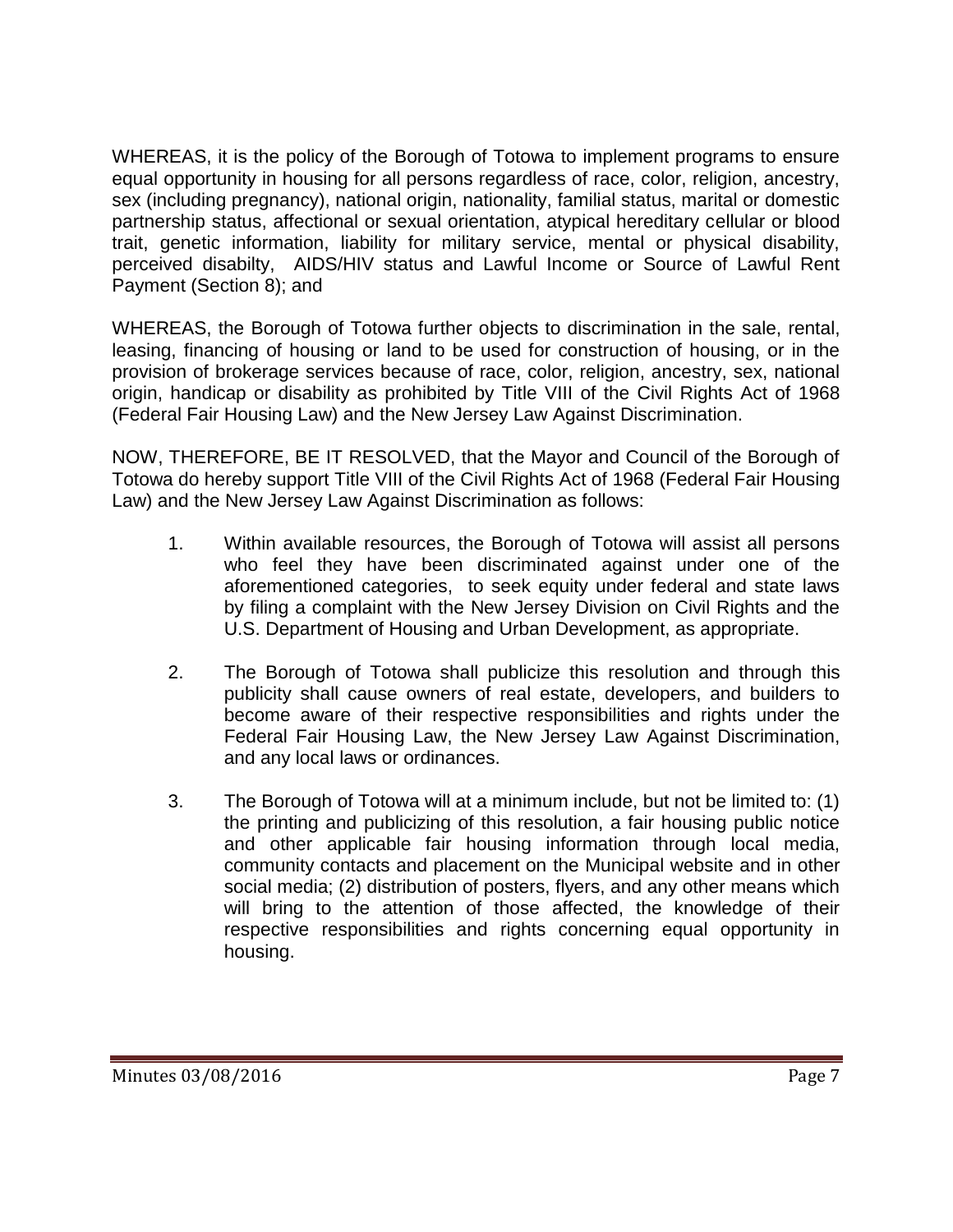WHEREAS, it is the policy of the Borough of Totowa to implement programs to ensure equal opportunity in housing for all persons regardless of race, color, religion, ancestry, sex (including pregnancy), national origin, nationality, familial status, marital or domestic partnership status, affectional or sexual orientation, atypical hereditary cellular or blood trait, genetic information, liability for military service, mental or physical disability, perceived disabilty, AIDS/HIV status and Lawful Income or Source of Lawful Rent Payment (Section 8); and

WHEREAS, the Borough of Totowa further objects to discrimination in the sale, rental, leasing, financing of housing or land to be used for construction of housing, or in the provision of brokerage services because of race, color, religion, ancestry, sex, national origin, handicap or disability as prohibited by Title VIII of the Civil Rights Act of 1968 (Federal Fair Housing Law) and the New Jersey Law Against Discrimination.

NOW, THEREFORE, BE IT RESOLVED, that the Mayor and Council of the Borough of Totowa do hereby support Title VIII of the Civil Rights Act of 1968 (Federal Fair Housing Law) and the New Jersey Law Against Discrimination as follows:

- 1. Within available resources, the Borough of Totowa will assist all persons who feel they have been discriminated against under one of the aforementioned categories, to seek equity under federal and state laws by filing a complaint with the New Jersey Division on Civil Rights and the U.S. Department of Housing and Urban Development, as appropriate.
- 2. The Borough of Totowa shall publicize this resolution and through this publicity shall cause owners of real estate, developers, and builders to become aware of their respective responsibilities and rights under the Federal Fair Housing Law, the New Jersey Law Against Discrimination, and any local laws or ordinances.
- 3. The Borough of Totowa will at a minimum include, but not be limited to: (1) the printing and publicizing of this resolution, a fair housing public notice and other applicable fair housing information through local media, community contacts and placement on the Municipal website and in other social media; (2) distribution of posters, flyers, and any other means which will bring to the attention of those affected, the knowledge of their respective responsibilities and rights concerning equal opportunity in housing.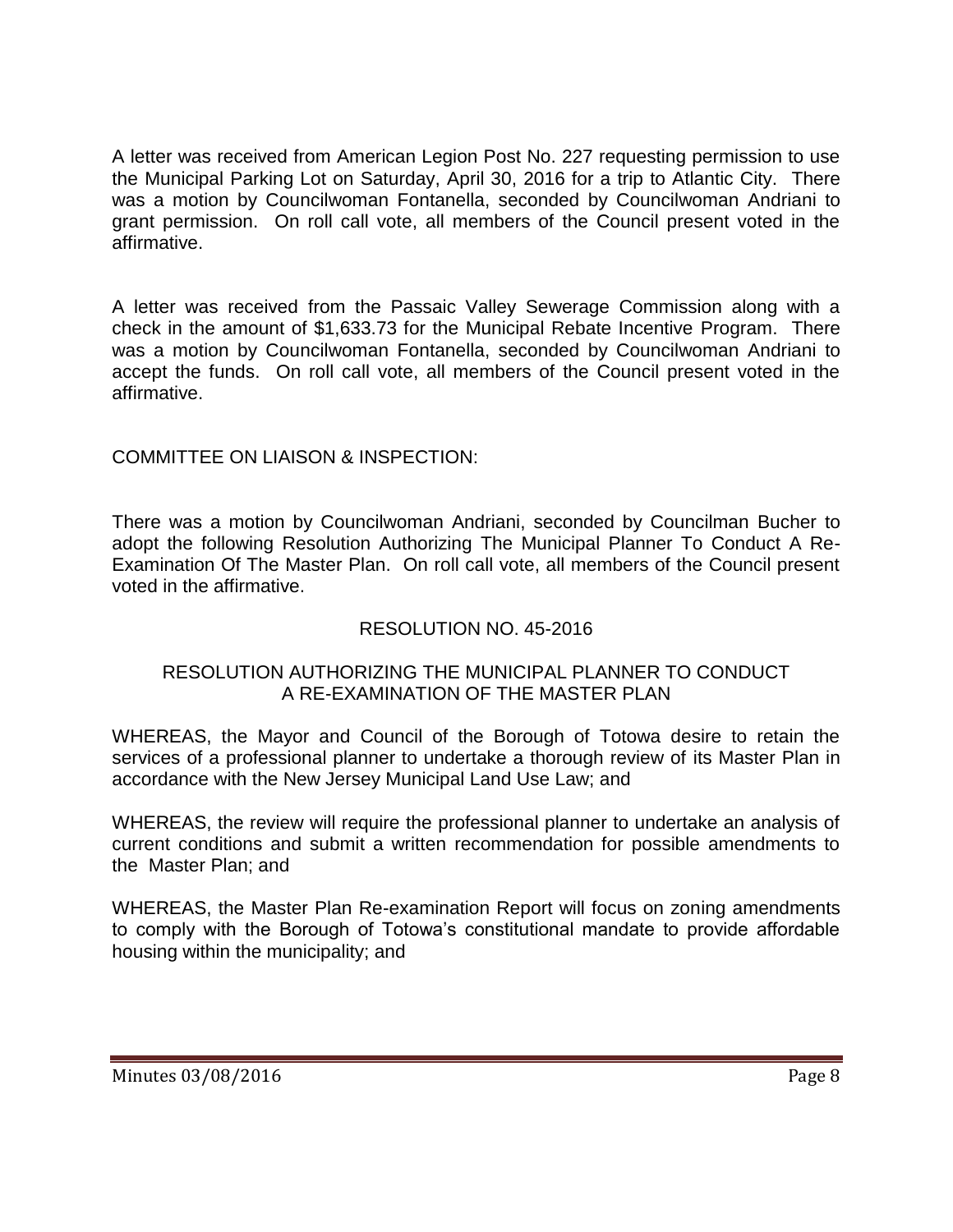A letter was received from American Legion Post No. 227 requesting permission to use the Municipal Parking Lot on Saturday, April 30, 2016 for a trip to Atlantic City. There was a motion by Councilwoman Fontanella, seconded by Councilwoman Andriani to grant permission. On roll call vote, all members of the Council present voted in the affirmative.

A letter was received from the Passaic Valley Sewerage Commission along with a check in the amount of \$1,633.73 for the Municipal Rebate Incentive Program. There was a motion by Councilwoman Fontanella, seconded by Councilwoman Andriani to accept the funds. On roll call vote, all members of the Council present voted in the affirmative.

## COMMITTEE ON LIAISON & INSPECTION:

There was a motion by Councilwoman Andriani, seconded by Councilman Bucher to adopt the following Resolution Authorizing The Municipal Planner To Conduct A Re-Examination Of The Master Plan. On roll call vote, all members of the Council present voted in the affirmative.

### RESOLUTION NO. 45-2016

### RESOLUTION AUTHORIZING THE MUNICIPAL PLANNER TO CONDUCT A RE-EXAMINATION OF THE MASTER PLAN

WHEREAS, the Mayor and Council of the Borough of Totowa desire to retain the services of a professional planner to undertake a thorough review of its Master Plan in accordance with the New Jersey Municipal Land Use Law; and

WHEREAS, the review will require the professional planner to undertake an analysis of current conditions and submit a written recommendation for possible amendments to the Master Plan; and

WHEREAS, the Master Plan Re-examination Report will focus on zoning amendments to comply with the Borough of Totowa's constitutional mandate to provide affordable housing within the municipality; and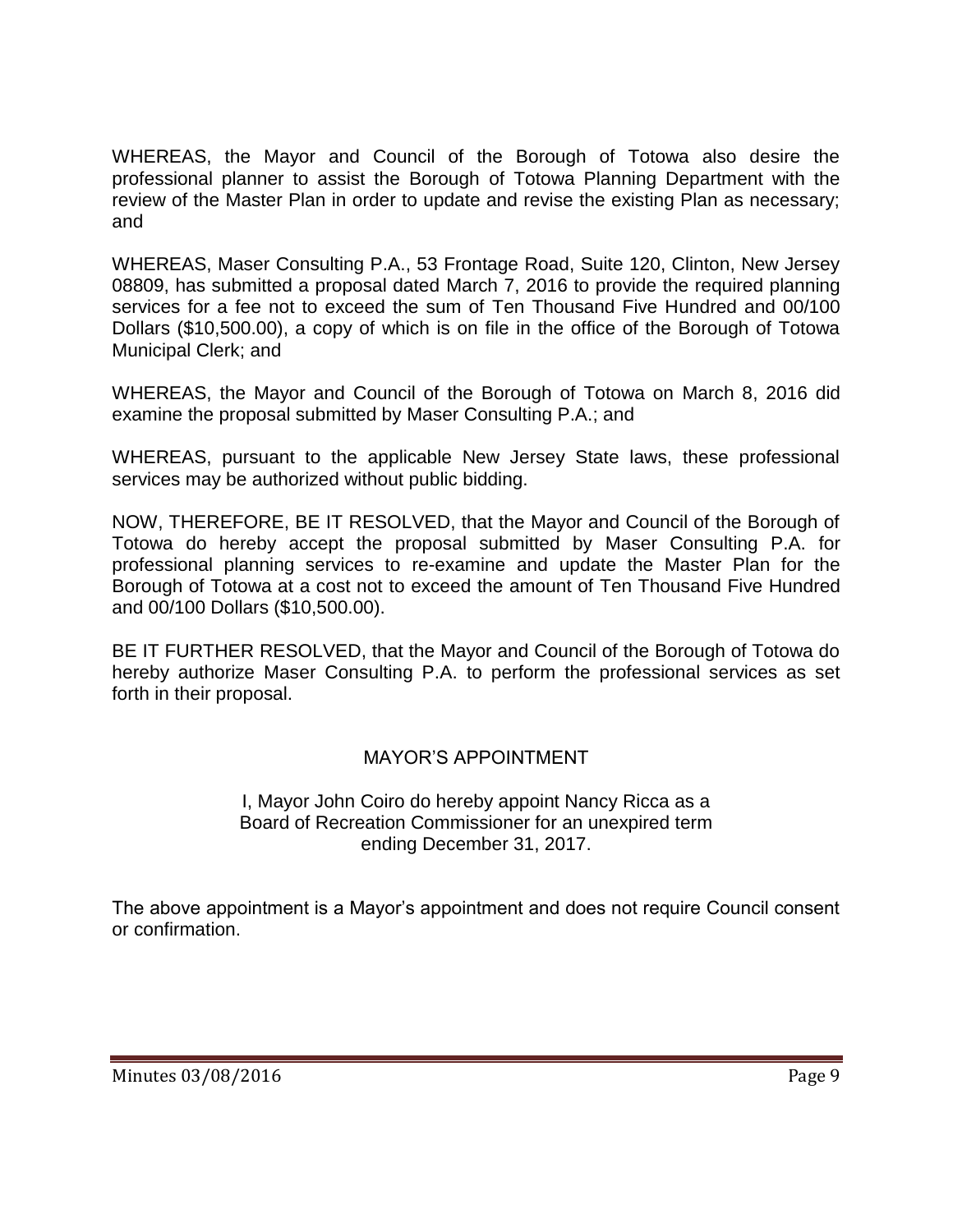WHEREAS, the Mayor and Council of the Borough of Totowa also desire the professional planner to assist the Borough of Totowa Planning Department with the review of the Master Plan in order to update and revise the existing Plan as necessary; and

WHEREAS, Maser Consulting P.A., 53 Frontage Road, Suite 120, Clinton, New Jersey 08809, has submitted a proposal dated March 7, 2016 to provide the required planning services for a fee not to exceed the sum of Ten Thousand Five Hundred and 00/100 Dollars (\$10,500.00), a copy of which is on file in the office of the Borough of Totowa Municipal Clerk; and

WHEREAS, the Mayor and Council of the Borough of Totowa on March 8, 2016 did examine the proposal submitted by Maser Consulting P.A.; and

WHEREAS, pursuant to the applicable New Jersey State laws, these professional services may be authorized without public bidding.

NOW, THEREFORE, BE IT RESOLVED, that the Mayor and Council of the Borough of Totowa do hereby accept the proposal submitted by Maser Consulting P.A. for professional planning services to re-examine and update the Master Plan for the Borough of Totowa at a cost not to exceed the amount of Ten Thousand Five Hundred and 00/100 Dollars (\$10,500.00).

BE IT FURTHER RESOLVED, that the Mayor and Council of the Borough of Totowa do hereby authorize Maser Consulting P.A. to perform the professional services as set forth in their proposal.

### MAYOR'S APPOINTMENT

I, Mayor John Coiro do hereby appoint Nancy Ricca as a Board of Recreation Commissioner for an unexpired term ending December 31, 2017.

The above appointment is a Mayor's appointment and does not require Council consent or confirmation.